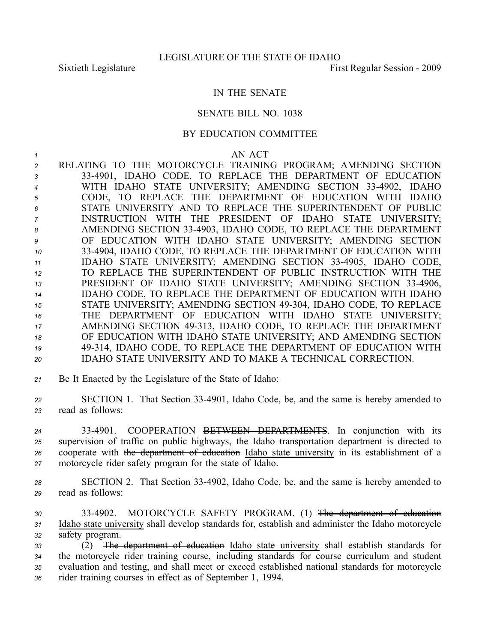## IN THE SENATE

## SENATE BILL NO. 1038

## BY EDUCATION COMMITTEE

## *1* AN ACT

 RELATING TO THE MOTORCYCLE TRAINING PROGRAM; AMENDING SECTION 334901, IDAHO CODE, TO REPLACE THE DEPARTMENT OF EDUCATION WITH IDAHO STATE UNIVERSITY; AMENDING SECTION 334902, IDAHO CODE, TO REPLACE THE DEPARTMENT OF EDUCATION WITH IDAHO STATE UNIVERSITY AND TO REPLACE THE SUPERINTENDENT OF PUBLIC INSTRUCTION WITH THE PRESIDENT OF IDAHO STATE UNIVERSITY; AMENDING SECTION 334903, IDAHO CODE, TO REPLACE THE DEPARTMENT OF EDUCATION WITH IDAHO STATE UNIVERSITY; AMENDING SECTION 334904, IDAHO CODE, TO REPLACE THE DEPARTMENT OF EDUCATION WITH IDAHO STATE UNIVERSITY; AMENDING SECTION 334905, IDAHO CODE, TO REPLACE THE SUPERINTENDENT OF PUBLIC INSTRUCTION WITH THE PRESIDENT OF IDAHO STATE UNIVERSITY; AMENDING SECTION 334906, IDAHO CODE, TO REPLACE THE DEPARTMENT OF EDUCATION WITH IDAHO 15 STATE UNIVERSITY; AMENDING SECTION 49-304, IDAHO CODE, TO REPLACE THE DEPARTMENT OF EDUCATION WITH IDAHO STATE UNIVERSITY; AMENDING SECTION 49313, IDAHO CODE, TO REPLACE THE DEPARTMENT OF EDUCATION WITH IDAHO STATE UNIVERSITY; AND AMENDING SECTION 49314, IDAHO CODE, TO REPLACE THE DEPARTMENT OF EDUCATION WITH IDAHO STATE UNIVERSITY AND TO MAKE A TECHNICAL CORRECTION.

*<sup>21</sup>* Be It Enacted by the Legislature of the State of Idaho:

*<sup>22</sup>* SECTION 1. That Section 334901, Idaho Code, be, and the same is hereby amended to *<sup>23</sup>* read as follows:

 334901. COOPERATION BETWEEN DEPARTMENTS. In conjunction with its supervision of traffic on public highways, the Idaho transportation department is directed to cooperate with the department of education Idaho state university in its establishment of <sup>a</sup> motorcycle rider safety program for the state of Idaho.

- *<sup>28</sup>* SECTION 2. That Section 334902, Idaho Code, be, and the same is hereby amended to *<sup>29</sup>* read as follows:
- *<sup>30</sup>* 334902. MOTORCYCLE SAFETY PROGRAM. (1) The department of education *<sup>31</sup>* Idaho state university shall develop standards for, establish and administer the Idaho motorcycle *<sup>32</sup>* safety program.
- *<sup>33</sup>* (2) The department of education Idaho state university shall establish standards for *<sup>34</sup>* the motorcycle rider training course, including standards for course curriculum and student *<sup>35</sup>* evaluation and testing, and shall meet or exceed established national standards for motorcycle *<sup>36</sup>* rider training courses in effect as of September 1, 1994.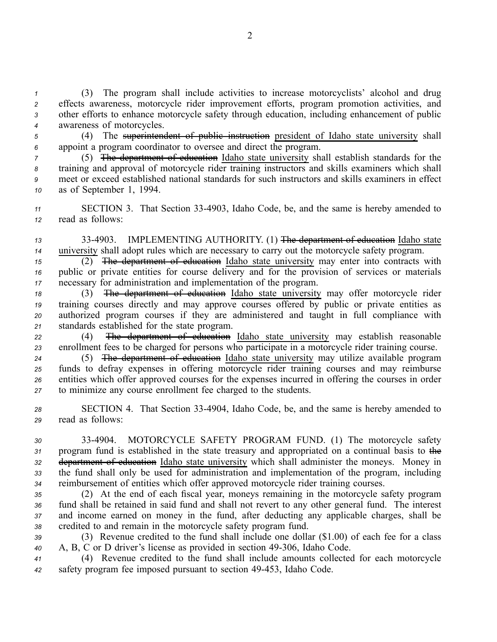(3) The program shall include activities to increase motorcyclists' alcohol and drug effects awareness, motorcycle rider improvement efforts, program promotion activities, and other efforts to enhance motorcycle safety through education, including enhancement of public awareness of motorcycles.

*<sup>5</sup>* (4) The superintendent of public instruction president of Idaho state university shall *<sup>6</sup>* appoint <sup>a</sup> program coordinator to oversee and direct the program.

 (5) The department of education Idaho state university shall establish standards for the training and approval of motorcycle rider training instructors and skills examiners which shall meet or exceed established national standards for such instructors and skills examiners in effect as of September 1, 1994.

*<sup>11</sup>* SECTION 3. That Section 334903, Idaho Code, be, and the same is hereby amended to *<sup>12</sup>* read as follows:

*<sup>13</sup>* 334903. IMPLEMENTING AUTHORITY. (1) The department of education Idaho state *<sup>14</sup>* university shall adopt rules which are necessary to carry out the motorcycle safety program.

*<sup>15</sup>* (2) The department of education Idaho state university may enter into contracts with *<sup>16</sup>* public or private entities for course delivery and for the provision of services or materials *<sup>17</sup>* necessary for administration and implementation of the program.

 (3) The department of education Idaho state university may offer motorcycle rider training courses directly and may approve courses offered by public or private entities as authorized program courses if they are administered and taught in full compliance with standards established for the state program.

*<sup>22</sup>* (4) The department of education Idaho state university may establish reasonable *<sup>23</sup>* enrollment fees to be charged for persons who participate in <sup>a</sup> motorcycle rider training course.

 (5) The department of education Idaho state university may utilize available program funds to defray expenses in offering motorcycle rider training courses and may reimburse entities which offer approved courses for the expenses incurred in offering the courses in order to minimize any course enrollment fee charged to the students.

*<sup>28</sup>* SECTION 4. That Section 334904, Idaho Code, be, and the same is hereby amended to *<sup>29</sup>* read as follows:

 334904. MOTORCYCLE SAFETY PROGRAM FUND. (1) The motorcycle safety program fund is established in the state treasury and appropriated on <sup>a</sup> continual basis to the department of education Idaho state university which shall administer the moneys. Money in the fund shall only be used for administration and implementation of the program, including reimbursement of entities which offer approved motorcycle rider training courses.

 (2) At the end of each fiscal year, moneys remaining in the motorcycle safety program fund shall be retained in said fund and shall not revert to any other general fund. The interest and income earned on money in the fund, after deducting any applicable charges, shall be credited to and remain in the motorcycle safety program fund.

*<sup>39</sup>* (3) Revenue credited to the fund shall include one dollar (\$1.00) of each fee for <sup>a</sup> class *<sup>40</sup>* A, B, C or D driver's license as provided in section 49306, Idaho Code.

*<sup>41</sup>* (4) Revenue credited to the fund shall include amounts collected for each motorcycle *<sup>42</sup>* safety program fee imposed pursuan<sup>t</sup> to section 49453, Idaho Code.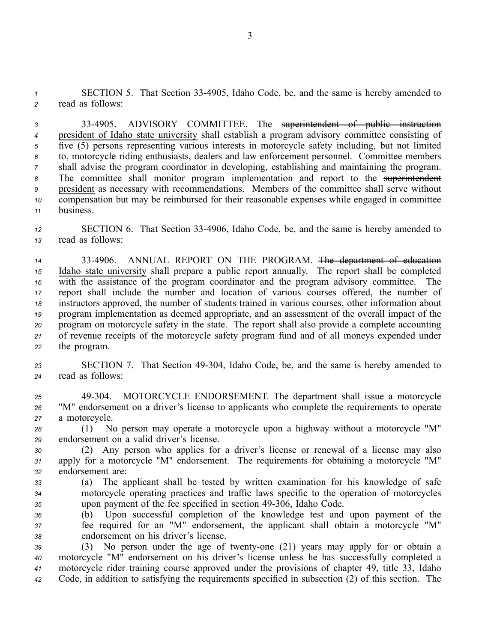*<sup>1</sup>* SECTION 5. That Section 334905, Idaho Code, be, and the same is hereby amended to *<sup>2</sup>* read as follows:

 334905. ADVISORY COMMITTEE. The superintendent of public instruction president of Idaho state university shall establish <sup>a</sup> program advisory committee consisting of five (5) persons representing various interests in motorcycle safety including, but not limited to, motorcycle riding enthusiasts, dealers and law enforcement personnel. Committee members shall advise the program coordinator in developing, establishing and maintaining the program. The committee shall monitor program implementation and repor<sup>t</sup> to the superintendent president as necessary with recommendations. Members of the committee shall serve without compensation but may be reimbursed for their reasonable expenses while engaged in committee business.

*<sup>12</sup>* SECTION 6. That Section 334906, Idaho Code, be, and the same is hereby amended to *<sup>13</sup>* read as follows:

 334906. ANNUAL REPORT ON THE PROGRAM. The department of education Idaho state university shall prepare <sup>a</sup> public repor<sup>t</sup> annually. The repor<sup>t</sup> shall be completed with the assistance of the program coordinator and the program advisory committee. The repor<sup>t</sup> shall include the number and location of various courses offered, the number of instructors approved, the number of students trained in various courses, other information about program implementation as deemed appropriate, and an assessment of the overall impact of the program on motorcycle safety in the state. The repor<sup>t</sup> shall also provide <sup>a</sup> complete accounting of revenue receipts of the motorcycle safety program fund and of all moneys expended under the program.

23 **SECTION 7.** That Section 49-304, Idaho Code, be, and the same is hereby amended to *<sup>24</sup>* read as follows:

*<sup>25</sup>* 49304. MOTORCYCLE ENDORSEMENT. The department shall issue <sup>a</sup> motorcycle *<sup>26</sup>* "M" endorsement on <sup>a</sup> driver's license to applicants who complete the requirements to operate *<sup>27</sup>* <sup>a</sup> motorcycle.

*<sup>28</sup>* (1) No person may operate <sup>a</sup> motorcycle upon <sup>a</sup> highway without <sup>a</sup> motorcycle "M" *<sup>29</sup>* endorsement on <sup>a</sup> valid driver's license.

*<sup>30</sup>* (2) Any person who applies for <sup>a</sup> driver's license or renewal of <sup>a</sup> license may also *<sup>31</sup>* apply for <sup>a</sup> motorcycle "M" endorsement. The requirements for obtaining <sup>a</sup> motorcycle "M" *<sup>32</sup>* endorsement are:

- *<sup>33</sup>* (a) The applicant shall be tested by written examination for his knowledge of safe *<sup>34</sup>* motorcycle operating practices and traffic laws specific to the operation of motorcycles *<sup>35</sup>* upon paymen<sup>t</sup> of the fee specified in section 49306, Idaho Code.
- *<sup>36</sup>* (b) Upon successful completion of the knowledge test and upon paymen<sup>t</sup> of the *<sup>37</sup>* fee required for an "M" endorsement, the applicant shall obtain <sup>a</sup> motorcycle "M" *<sup>38</sup>* endorsement on his driver's license.

39 (3) No person under the age of twenty-one (21) years may apply for or obtain a motorcycle "M" endorsement on his driver's license unless he has successfully completed <sup>a</sup> motorcycle rider training course approved under the provisions of chapter 49, title 33, Idaho Code, in addition to satisfying the requirements specified in subsection (2) of this section. The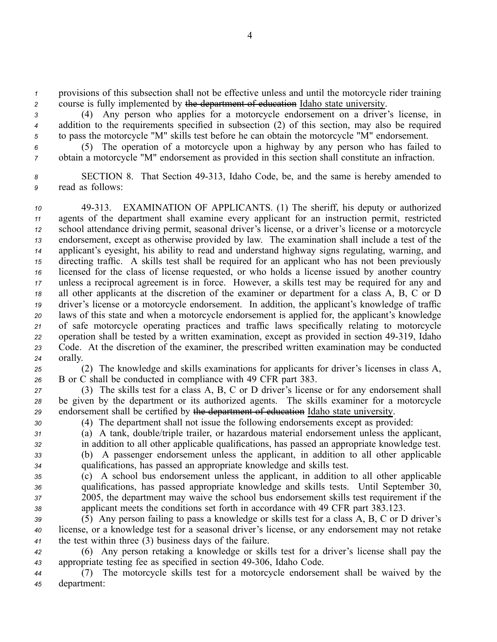*<sup>1</sup>* provisions of this subsection shall not be effective unless and until the motorcycle rider training *<sup>2</sup>* course is fully implemented by the department of education Idaho state university.

*<sup>3</sup>* (4) Any person who applies for <sup>a</sup> motorcycle endorsement on <sup>a</sup> driver's license, in *<sup>4</sup>* addition to the requirements specified in subsection (2) of this section, may also be required *<sup>5</sup>* to pass the motorcycle "M" skills test before he can obtain the motorcycle "M" endorsement.

*<sup>6</sup>* (5) The operation of <sup>a</sup> motorcycle upon <sup>a</sup> highway by any person who has failed to *<sup>7</sup>* obtain <sup>a</sup> motorcycle "M" endorsement as provided in this section shall constitute an infraction.

*<sup>8</sup>* SECTION 8. That Section 49313, Idaho Code, be, and the same is hereby amended to *<sup>9</sup>* read as follows:

 49313. EXAMINATION OF APPLICANTS. (1) The sheriff, his deputy or authorized agents of the department shall examine every applicant for an instruction permit, restricted school attendance driving permit, seasonal driver's license, or <sup>a</sup> driver's license or <sup>a</sup> motorcycle endorsement, excep<sup>t</sup> as otherwise provided by law. The examination shall include <sup>a</sup> test of the applicant's eyesight, his ability to read and understand highway signs regulating, warning, and directing traffic. A skills test shall be required for an applicant who has not been previously licensed for the class of license requested, or who holds <sup>a</sup> license issued by another country unless <sup>a</sup> reciprocal agreemen<sup>t</sup> is in force. However, <sup>a</sup> skills test may be required for any and all other applicants at the discretion of the examiner or department for <sup>a</sup> class A, B, C or D driver's license or <sup>a</sup> motorcycle endorsement. In addition, the applicant's knowledge of traffic laws of this state and when <sup>a</sup> motorcycle endorsement is applied for, the applicant's knowledge of safe motorcycle operating practices and traffic laws specifically relating to motorcycle operation shall be tested by <sup>a</sup> written examination, excep<sup>t</sup> as provided in section 49319, Idaho Code. At the discretion of the examiner, the prescribed written examination may be conducted *<sup>24</sup>* orally.

*<sup>25</sup>* (2) The knowledge and skills examinations for applicants for driver's licenses in class A, *<sup>26</sup>* B or C shall be conducted in compliance with 49 CFR par<sup>t</sup> 383.

*<sup>27</sup>* (3) The skills test for <sup>a</sup> class A, B, C or D driver's license or for any endorsement shall *<sup>28</sup>* be given by the department or its authorized agents. The skills examiner for <sup>a</sup> motorcycle *<sup>29</sup>* endorsement shall be certified by the department of education Idaho state university.

*<sup>30</sup>* (4) The department shall not issue the following endorsements excep<sup>t</sup> as provided:

*<sup>31</sup>* (a) A tank, double/triple trailer, or hazardous material endorsement unless the applicant,

*<sup>32</sup>* in addition to all other applicable qualifications, has passed an appropriate knowledge test. *<sup>33</sup>* (b) A passenger endorsement unless the applicant, in addition to all other applicable *<sup>34</sup>* qualifications, has passed an appropriate knowledge and skills test.

 (c) A school bus endorsement unless the applicant, in addition to all other applicable qualifications, has passed appropriate knowledge and skills tests. Until September 30, 2005, the department may waive the school bus endorsement skills test requirement if the applicant meets the conditions set forth in accordance with 49 CFR par<sup>t</sup> 383.123.

*<sup>39</sup>* (5) Any person failing to pass <sup>a</sup> knowledge or skills test for <sup>a</sup> class A, B, C or D driver's *<sup>40</sup>* license, or <sup>a</sup> knowledge test for <sup>a</sup> seasonal driver's license, or any endorsement may not retake *<sup>41</sup>* the test within three (3) business days of the failure.

*<sup>42</sup>* (6) Any person retaking <sup>a</sup> knowledge or skills test for <sup>a</sup> driver's license shall pay the 43 appropriate testing fee as specified in section 49-306, Idaho Code.

*<sup>44</sup>* (7) The motorcycle skills test for <sup>a</sup> motorcycle endorsement shall be waived by the *<sup>45</sup>* department: